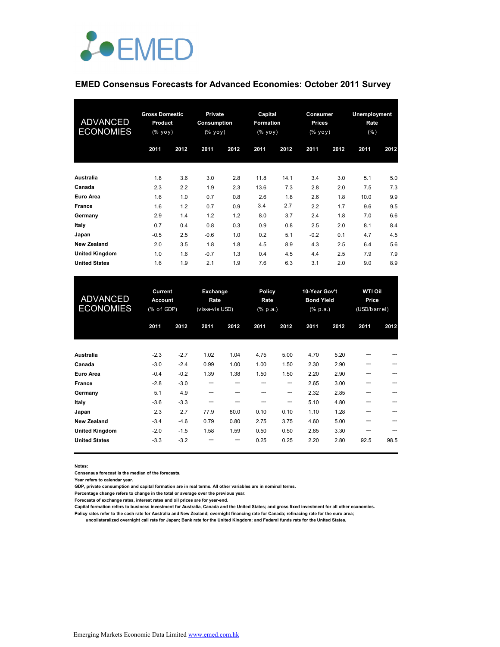

### **EMED Consensus Forecasts for Advanced Economies: October 2011 Survey**

| <b>ADVANCED</b><br><b>ECONOMIES</b> | <b>Gross Domestic</b><br><b>Product</b><br>$(\%$ yoy) |      | <b>Private</b><br>Consumption<br>(% yoy) |      | Capital<br><b>Formation</b><br>(% yoy) |      | Consumer<br><b>Prices</b><br>(% уоу) |      | Unemployment<br>Rate<br>(% ) |      |
|-------------------------------------|-------------------------------------------------------|------|------------------------------------------|------|----------------------------------------|------|--------------------------------------|------|------------------------------|------|
|                                     | 2011                                                  | 2012 | 2011                                     | 2012 | 2011                                   | 2012 | 2011                                 | 2012 | 2011                         | 2012 |
| Australia                           | 1.8                                                   | 3.6  | 3.0                                      | 2.8  | 11.8                                   | 14.1 | 3.4                                  | 3.0  | 5.1                          | 5.0  |
| Canada                              | 2.3                                                   | 2.2  | 1.9                                      | 2.3  | 13.6                                   | 7.3  | 2.8                                  | 2.0  | 7.5                          | 7.3  |
| <b>Euro Area</b>                    | 1.6                                                   | 1.0  | 0.7                                      | 0.8  | 2.6                                    | 1.8  | 2.6                                  | 1.8  | 10.0                         | 9.9  |
| <b>France</b>                       | 1.6                                                   | 1.2  | 0.7                                      | 0.9  | 3.4                                    | 2.7  | 2.2                                  | 1.7  | 9.6                          | 9.5  |
| Germany                             | 2.9                                                   | 1.4  | 1.2                                      | 1.2  | 8.0                                    | 3.7  | 2.4                                  | 1.8  | 7.0                          | 6.6  |
| Italy                               | 0.7                                                   | 0.4  | 0.8                                      | 0.3  | 0.9                                    | 0.8  | 2.5                                  | 2.0  | 8.1                          | 8.4  |
| Japan                               | $-0.5$                                                | 2.5  | $-0.6$                                   | 1.0  | 0.2                                    | 5.1  | $-0.2$                               | 0.1  | 4.7                          | 4.5  |
| <b>New Zealand</b>                  | 2.0                                                   | 3.5  | 1.8                                      | 1.8  | 4.5                                    | 8.9  | 4.3                                  | 2.5  | 6.4                          | 5.6  |
| <b>United Kingdom</b>               | 1.0                                                   | 1.6  | $-0.7$                                   | 1.3  | 0.4                                    | 4.5  | 4.4                                  | 2.5  | 7.9                          | 7.9  |
| <b>United States</b>                | 1.6                                                   | 1.9  | 2.1                                      | 1.9  | 7.6                                    | 6.3  | 3.1                                  | 2.0  | 9.0                          | 8.9  |

| <b>ADVANCED</b><br><b>ECONOMIES</b> | Current<br><b>Account</b><br>(% of GDP) |        | Exchange<br>Rate<br>(vis-a-vis USD) |      | Policy<br>Rate<br>$(% \mathbf{a})$ (% p.a.) |      | 10-Year Gov't<br><b>Bond Yield</b><br>$(% \mathbf{a})$ (% p.a.) |      | <b>WTI Oil</b><br>Price<br>(USD/barrel) |      |
|-------------------------------------|-----------------------------------------|--------|-------------------------------------|------|---------------------------------------------|------|-----------------------------------------------------------------|------|-----------------------------------------|------|
|                                     | 2011                                    | 2012   | 2011                                | 2012 | 2011                                        | 2012 | 2011                                                            | 2012 | 2011                                    | 2012 |
| <b>Australia</b>                    | $-2.3$                                  | $-2.7$ | 1.02                                | 1.04 | 4.75                                        | 5.00 | 4.70                                                            | 5.20 |                                         |      |
| Canada                              | $-3.0$                                  | $-2.4$ | 0.99                                | 1.00 | 1.00                                        | 1.50 | 2.30                                                            | 2.90 | ---                                     |      |
| <b>Euro Area</b>                    | $-0.4$                                  | $-0.2$ | 1.39                                | 1.38 | 1.50                                        | 1.50 | 2.20                                                            | 2.90 |                                         |      |
| <b>France</b>                       | $-2.8$                                  | $-3.0$ | ---                                 |      | ---                                         | ---  | 2.65                                                            | 3.00 |                                         |      |
| Germany                             | 5.1                                     | 4.9    | ---                                 |      |                                             | ---  | 2.32                                                            | 2.85 |                                         |      |
| Italy                               | $-3.6$                                  | $-3.3$ | ---                                 |      |                                             | ---  | 5.10                                                            | 4.80 |                                         |      |
| Japan                               | 2.3                                     | 2.7    | 77.9                                | 80.0 | 0.10                                        | 0.10 | 1.10                                                            | 1.28 |                                         |      |
| <b>New Zealand</b>                  | $-3.4$                                  | $-4.6$ | 0.79                                | 0.80 | 2.75                                        | 3.75 | 4.60                                                            | 5.00 |                                         |      |
| <b>United Kingdom</b>               | $-2.0$                                  | $-1.5$ | 1.58                                | 1.59 | 0.50                                        | 0.50 | 2.85                                                            | 3.30 |                                         |      |
| <b>United States</b>                | $-3.3$                                  | $-3.2$ |                                     |      | 0.25                                        | 0.25 | 2.20                                                            | 2.80 | 92.5                                    | 98.5 |

**Notes:** 

**Consensus forecast is the median of the forecasts.**

**Year refers to calendar year.**

**GDP, private consumption and capital formation are in real terms. All other variables are in nominal terms.**

**Percentage change refers to change in the total or average over the previous year.**

**Forecasts of exchange rates, interest rates and oil prices are for year-end.**

**Capital formation refers to business investment for Australia, Canada and the United States; and gross fixed investment for all other economies. Policy rates refer to the cash rate for Australia and New Zealand; overnight financing rate for Canada; refinacing rate for the euro area;** 

 **uncollateralized overnight call rate for Japan; Bank rate for the United Kingdom; and Federal funds rate for the United States.**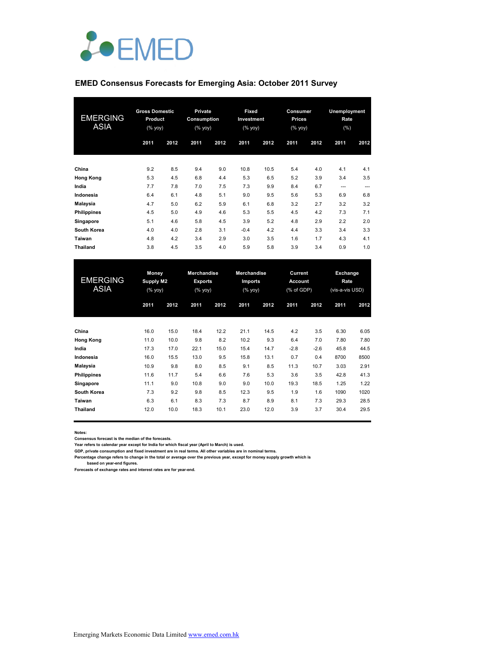

### **EMED Consensus Forecasts for Emerging Asia: October 2011 Survey**

| <b>EMERGING</b><br><b>ASIA</b> | <b>Gross Domestic</b><br>Product<br>$(%$ (% yoy) |      | Private<br>Consumption<br>(% |      | Fixed<br>Investment<br>(% yoy) |      | Consumer<br><b>Prices</b><br>$(%$ yoy) |      | Unemployment<br>Rate<br>(%) |      |
|--------------------------------|--------------------------------------------------|------|------------------------------|------|--------------------------------|------|----------------------------------------|------|-----------------------------|------|
|                                | 2011                                             | 2012 | 2011                         | 2012 | 2011                           | 2012 | 2011                                   | 2012 | 2011                        | 2012 |
| China                          | 9.2                                              | 8.5  | 9.4                          | 9.0  | 10.8                           | 10.5 | 5.4                                    | 4.0  | 4.1                         | 4.1  |
| <b>Hong Kong</b>               | 5.3                                              | 4.5  | 6.8                          | 4.4  | 5.3                            | 6.5  | 5.2                                    | 3.9  | 3.4                         | 3.5  |
| India                          | 7.7                                              | 7.8  | 7.0                          | 7.5  | 7.3                            | 9.9  | 8.4                                    | 6.7  | ---                         | ---  |
| Indonesia                      | 6.4                                              | 6.1  | 4.8                          | 5.1  | 9.0                            | 9.5  | 5.6                                    | 5.3  | 6.9                         | 6.8  |
| Malaysia                       | 4.7                                              | 5.0  | 6.2                          | 5.9  | 6.1                            | 6.8  | 3.2                                    | 2.7  | 3.2                         | 3.2  |
| <b>Philippines</b>             | 4.5                                              | 5.0  | 4.9                          | 4.6  | 5.3                            | 5.5  | 4.5                                    | 4.2  | 7.3                         | 7.1  |
| Singapore                      | 5.1                                              | 4.6  | 5.8                          | 4.5  | 3.9                            | 5.2  | 4.8                                    | 2.9  | 2.2                         | 2.0  |
| South Korea                    | 4.0                                              | 4.0  | 2.8                          | 3.1  | $-0.4$                         | 4.2  | 4.4                                    | 3.3  | 3.4                         | 3.3  |
| Taiwan                         | 4.8                                              | 4.2  | 3.4                          | 2.9  | 3.0                            | 3.5  | 1.6                                    | 1.7  | 4.3                         | 4.1  |
| <b>Thailand</b>                | 3.8                                              | 4.5  | 3.5                          | 4.0  | 5.9                            | 5.8  | 3.9                                    | 3.4  | 0.9                         | 1.0  |

| <b>EMERGING</b><br><b>ASIA</b> | <b>Money</b><br><b>Supply M2</b><br>$(%$ (% yoy) |      | <b>Merchandise</b><br><b>Exports</b><br>(% yoy) |      | <b>Merchandise</b><br>Imports<br>(% |      | Current<br><b>Account</b><br>(% of GDP) |        | Exchange<br>Rate<br>(vis-a-vis USD) |      |
|--------------------------------|--------------------------------------------------|------|-------------------------------------------------|------|-------------------------------------|------|-----------------------------------------|--------|-------------------------------------|------|
|                                | 2011                                             | 2012 | 2011                                            | 2012 | 2011                                | 2012 | 2011                                    | 2012   | 2011                                | 2012 |
| China                          | 16.0                                             | 15.0 | 18.4                                            | 12.2 | 21.1                                | 14.5 | 4.2                                     | 3.5    | 6.30                                | 6.05 |
| <b>Hong Kong</b>               | 11.0                                             | 10.0 | 9.8                                             | 8.2  | 10.2                                | 9.3  | 6.4                                     | 7.0    | 7.80                                | 7.80 |
| India                          | 17.3                                             | 17.0 | 22.1                                            | 15.0 | 15.4                                | 14.7 | $-2.8$                                  | $-2.6$ | 45.8                                | 44.5 |
| Indonesia                      | 16.0                                             | 15.5 | 13.0                                            | 9.5  | 15.8                                | 13.1 | 0.7                                     | 0.4    | 8700                                | 8500 |
| Malaysia                       | 10.9                                             | 9.8  | 8.0                                             | 8.5  | 9.1                                 | 8.5  | 11.3                                    | 10.7   | 3.03                                | 2.91 |
| <b>Philippines</b>             | 11.6                                             | 11.7 | 5.4                                             | 6.6  | 7.6                                 | 5.3  | 3.6                                     | 3.5    | 42.8                                | 41.3 |
| Singapore                      | 11.1                                             | 9.0  | 10.8                                            | 9.0  | 9.0                                 | 10.0 | 19.3                                    | 18.5   | 1.25                                | 1.22 |
| South Korea                    | 7.3                                              | 9.2  | 9.8                                             | 8.5  | 12.3                                | 9.5  | 1.9                                     | 1.6    | 1090                                | 1020 |
| Taiwan                         | 6.3                                              | 6.1  | 8.3                                             | 7.3  | 8.7                                 | 8.9  | 8.1                                     | 7.3    | 29.3                                | 28.5 |
| Thailand                       | 12.0                                             | 10.0 | 18.3                                            | 10.1 | 23.0                                | 12.0 | 3.9                                     | 3.7    | 30.4                                | 29.5 |

**Notes:** 

**Consensus forecast is the median of the forecasts.**

**Year refers to calendar year except for India for which fiscal year (April to March) is used. GDP, private consumption and fixed investment are in real terms. All other variables are in nominal terms.**

**Percentage change refers to change in the total or average over the previous year, except for money supply growth which is** 

 **based on year-end figures. Forecasts of exchange rates and interest rates are for year-end.**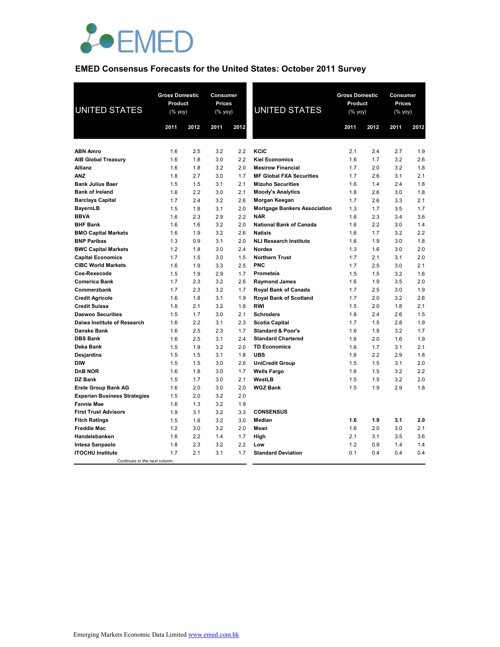

# **EMED Consensus Forecasts for the United States: October 2011 Survey**

| <b>UNITED STATES</b>                                  | <b>Gross Domestic</b><br><b>Product</b><br>(% yoy) |            | Consumer<br><b>Prices</b><br>(% yoy) |            | UNITED STATES                       | <b>Gross Domestic</b><br>Product<br>(% yoy) |            | Consumer<br><b>Prices</b><br>(% yoy) |            |
|-------------------------------------------------------|----------------------------------------------------|------------|--------------------------------------|------------|-------------------------------------|---------------------------------------------|------------|--------------------------------------|------------|
|                                                       | 2011                                               | 2012       | 2011                                 | 2012       |                                     | 2011                                        | 2012       | 2011                                 | 2012       |
|                                                       |                                                    |            |                                      |            |                                     |                                             |            |                                      |            |
| <b>ABN Amro</b>                                       | 1.6                                                | 2.5        | 3.2                                  | 2.2        | KCIC                                | 2.1                                         | 2.4        | 2.7                                  | 1.9        |
| <b>AIB Global Treasury</b>                            | 1.6                                                | 1.8        | 3.0                                  | 2.2        | <b>Kiel Economics</b>               | 1.6                                         | 1.7        | 3.2                                  | 2.6        |
| <b>Allianz</b>                                        | 1.6                                                | 1.8        | 3.2                                  | 2.0        | <b>Mesirow Financial</b>            | 1.7                                         | 2.0        | 3.2                                  | 1.8        |
| <b>ANZ</b>                                            | 1.8                                                | 2.7        | 3.0                                  | 1.7        | <b>MF Global FXA Securities</b>     | 1.7                                         | 2.6        | 3.1                                  | 2.1        |
| <b>Bank Julius Baer</b>                               | 1.5                                                | 1.5        | 3.1                                  | 2.1        | <b>Mizuho Securities</b>            | 1.6                                         | 1.4        | 2.4                                  | 1.8        |
| <b>Bank of Ireland</b>                                | 1.6                                                | 2.2        | 3.0                                  | 2.1        | <b>Moody's Analytics</b>            | 1.8                                         | 2.6        | 3.0                                  | 1.8        |
| <b>Barclays Capital</b>                               | 1.7                                                | 2.4        | 3.2                                  | 2.6        | Morgan Keegan                       | 1.7                                         | 2.6        | 3.3                                  | 2.1        |
| <b>BayernLB</b>                                       | 1.5                                                | 1.8        | 3.1                                  | 2.0        | <b>Mortgage Bankers Association</b> | 1.3                                         | 1.7        | 3.5                                  | 1.7        |
| <b>BBVA</b>                                           | 1.6                                                | 2.3        | 2.9                                  | 2.2        | <b>NAR</b>                          | 1.6                                         | 2.3        | 3.4                                  | 3.6        |
| <b>BHF Bank</b>                                       | 1.6                                                | 1.6        | 3.2                                  | 2.0        | <b>National Bank of Canada</b>      | 1.6                                         | 2.2        | 3.0                                  | 1.4        |
| <b>BMO Capital Markets</b>                            | 1.6                                                | 1.9        | 3.2                                  | 2.6        | <b>Natixis</b>                      | 1.6                                         | 1.7        | 3.2                                  | 2.2        |
| <b>BNP Paribas</b>                                    | 1.3                                                | 0.9        | 3.1                                  | 2.0        | <b>NLI Research Institute</b>       | 1.6                                         | 1.9        | 3.0                                  | 1.8        |
| <b>BWC Capital Markets</b>                            | 1.2                                                | 1.8        | 3.0                                  | 2.4        | Nordea<br><b>Northern Trust</b>     | 1.3                                         | 1.6        | 3.0                                  | 2.0        |
| <b>Capital Economics</b><br><b>CIBC World Markets</b> | 1.7<br>1.6                                         | 1.5<br>1.9 | 3.0<br>3.3                           | 1.5<br>2.5 | <b>PNC</b>                          | 1.7<br>1.7                                  | 2.1<br>2.5 | 3.1<br>3.0                           | 2.0<br>2.1 |
| Coe-Rexecode                                          | 1.5                                                | 1.9        | 2.9                                  | 1.7        | Prometeia                           | 1.5                                         | 1.5        | 3.2                                  | 1.6        |
| <b>Comerica Bank</b>                                  | 1.7                                                | 2.3        | 3.2                                  | 2.6        | <b>Raymond James</b>                | 1.6                                         | 1.9        | 3.5                                  | 2.0        |
| Commerzbank                                           | 1.7                                                | 2.3        | 3.2                                  | 1.7        | Royal Bank of Canada                | 1.7                                         | 2.5        | 3.0                                  | 1.9        |
| <b>Credit Agricole</b>                                | 1.6                                                | 1.8        | 3.1                                  | 1.9        | Royal Bank of Scotland              | 1.7                                         | 2.0        | 3.2                                  | 2.6        |
| <b>Credit Suisse</b>                                  | 1.8                                                | 2.1        | 3.2                                  | 1.8        | <b>RWI</b>                          | 1.5                                         | 2.0        | 1.8                                  | 2.1        |
| <b>Daewoo Securities</b>                              | 1.5                                                | 1.7        | 3.0                                  | 2.1        | <b>Schroders</b>                    | 1.8                                         | 2.4        | 2.6                                  | 1.5        |
| Daiwa Institute of Research                           | 1.6                                                | 2.2        | 3.1                                  | 2.3        | <b>Scotia Capital</b>               | 1.7                                         | 1.5        | 2.8                                  | 1.9        |
| <b>Danske Bank</b>                                    | 1.6                                                | 2.5        | 2.3                                  | 1.7        | <b>Standard &amp; Poor's</b>        | 1.6                                         | 1.9        | 3.2                                  | 1.7        |
| <b>DBS Bank</b>                                       | 1.6                                                | 2.5        | 3.1                                  | 2.4        | <b>Standard Chartered</b>           | 1.6                                         | 2.0        | 1.6                                  | 1.9        |
| Deka Bank                                             | 1.5                                                | 1.9        | 3.2                                  | 2.0        | <b>TD Economics</b>                 | 1.6                                         | 1.7        | 3.1                                  | 2.1        |
| Desjardins                                            | 1.5                                                | 1.5        | 3.1                                  | 1.8        | <b>UBS</b>                          | 1.6                                         | 2.2        | 2.9                                  | 1.8        |
| <b>DIW</b>                                            | 1.5                                                | 1.5        | 3.0                                  | 2.6        | <b>UniCredit Group</b>              | 1.5                                         | 1.5        | 3.1                                  | 2.0        |
| <b>DnB NOR</b>                                        | 1.6                                                | 1.8        | 3.0                                  | 1.7        | <b>Wells Fargo</b>                  | 1.6                                         | 1.5        | 3.2                                  | 2.2        |
| <b>DZ Bank</b>                                        | 1.5                                                | 1.7        | 3.0                                  | 2.1        | WestLB                              | 1.5                                         | 1.5        | 3.2                                  | 2.0        |
| <b>Erste Group Bank AG</b>                            | 1.6                                                | 2.0        | 3.0                                  | 2.0        | <b>WGZ Bank</b>                     | 1.5                                         | 1.9        | 2.9                                  | 1.8        |
| <b>Experian Business Strategies</b>                   | 1.5                                                | 2.0        | 3.2                                  | 2.0        |                                     |                                             |            |                                      |            |
| <b>Fannie Mae</b>                                     | 1.6                                                | 1.3        | 3.2                                  | 1.9        |                                     |                                             |            |                                      |            |
| <b>First Trust Advisors</b>                           | 1.9                                                | 3.1        | 3.2                                  | 3.3        | <b>CONSENSUS</b>                    |                                             |            |                                      |            |
| <b>Fitch Ratings</b>                                  | 1.5                                                | 1.8        | 3.2                                  | 3.0        | Median                              | 1.6                                         | 1.9        | 3.1                                  | 2.0        |
| <b>Freddie Mac</b>                                    | 1.2                                                | 3.0        | 3.2                                  | 2.0        | Mean                                | 1.6                                         | 2.0        | 3.0                                  | 2.1        |
| Handelsbanken                                         | 1.6                                                | 2.2        | 1.4                                  | 1.7        | High                                | 2.1                                         | 3.1        | 3.5                                  | 3.6        |
| Intesa Sanpaolo                                       | 1.8                                                | 2.3        | 3.2                                  | 2.2        | Low                                 | 1.2                                         | 0.9        | 1.4                                  | 1.4        |
| <b>ITOCHU Institute</b>                               | 1.7                                                | 2.1        | 3.1                                  | 1.7        | <b>Standard Deviation</b>           | 0.1                                         | 0.4        | 0.4                                  | 0.4        |
| Continues in the next column                          |                                                    |            |                                      |            |                                     |                                             |            |                                      |            |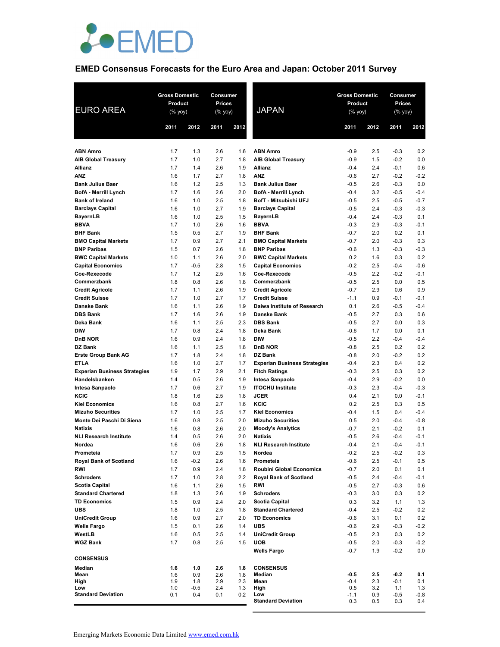

# **EMED Consensus Forecasts for the Euro Area and Japan: October 2011 Survey**

| <b>EURO AREA</b>                          | <b>Gross Domestic</b><br><b>Product</b><br>(% yoy) |               | Consumer<br><b>Prices</b><br>(% yoy) |            | <b>JAPAN</b>                                       | <b>Gross Domestic</b><br>Product<br>$(%$ yoy) |            | Consumer<br><b>Prices</b><br>(% yoy) |               |
|-------------------------------------------|----------------------------------------------------|---------------|--------------------------------------|------------|----------------------------------------------------|-----------------------------------------------|------------|--------------------------------------|---------------|
|                                           | 2011                                               | 2012          | 2011                                 | 2012       |                                                    | 2011                                          | 2012       | 2011                                 | 2012          |
| <b>ABN Amro</b>                           | 1.7                                                | 1.3           | 2.6                                  | 1.6        | <b>ABN Amro</b>                                    | $-0.9$                                        | 2.5        | $-0.3$                               | 0.2           |
| <b>AIB Global Treasury</b>                | 1.7                                                | 1.0           | 2.7                                  | 1.8        | <b>AIB Global Treasury</b>                         | $-0.9$                                        | 1.5        | $-0.2$                               | 0.0           |
| <b>Allianz</b>                            | 1.7                                                | 1.4           | 2.6                                  | 1.9        | <b>Allianz</b>                                     | $-0.4$                                        | 2.4        | $-0.1$                               | 0.6           |
| <b>ANZ</b>                                | 1.6                                                | 1.7           | 2.7                                  | 1.8        | <b>ANZ</b>                                         | $-0.6$                                        | 2.7        | $-0.2$                               | $-0.2$        |
| <b>Bank Julius Baer</b>                   | 1.6                                                | 1.2           | 2.5                                  | 1.3        | <b>Bank Julius Baer</b>                            | $-0.5$                                        | 2.6        | $-0.3$                               | 0.0           |
| <b>BofA - Merrill Lynch</b>               | 1.7                                                | 1.6           | 2.6                                  | 2.0        | <b>BofA - Merrill Lynch</b>                        | $-0.4$                                        | 3.2        | $-0.5$                               | $-0.4$        |
| <b>Bank of Ireland</b>                    | 1.6                                                | 1.0           | 2.5                                  | 1.8        | BofT - Mitsubishi UFJ                              | $-0.5$                                        | 2.5        | $-0.5$                               | $-0.7$        |
| <b>Barclays Capital</b>                   | 1.6                                                | 1.0           | 2.7                                  | 1.9        | <b>Barclays Capital</b>                            | $-0.5$                                        | 2.4        | $-0.3$                               | $-0.3$        |
| <b>BayernLB</b>                           | 1.6                                                | 1.0           | 2.5                                  | 1.5        | <b>BayernLB</b>                                    | $-0.4$                                        | 2.4        | $-0.3$                               | 0.1           |
| <b>BBVA</b>                               | 1.7                                                | 1.0           | 2.6                                  | 1.6        | <b>BBVA</b>                                        | $-0.3$                                        | 2.9        | $-0.3$                               | $-0.1$        |
| <b>BHF Bank</b>                           | 1.5                                                | 0.5           | 2.7                                  | 1.9        | <b>BHF Bank</b>                                    | $-0.7$                                        | 2.0        | 0.2                                  | 0.1           |
| <b>BMO Capital Markets</b>                | 1.7                                                | 0.9           | 2.7                                  | 2.1        | <b>BMO Capital Markets</b>                         | $-0.7$                                        | 2.0        | $-0.3$                               | 0.3           |
| <b>BNP Paribas</b>                        | 1.5                                                | 0.7           | 2.6                                  | 1.8        | <b>BNP Paribas</b>                                 | $-0.6$                                        | 1.3        | $-0.3$                               | $-0.3$        |
| <b>BWC Capital Markets</b>                | 1.0                                                | 1.1           | 2.6                                  | 2.0        | <b>BWC Capital Markets</b>                         | 0.2                                           | 1.6        | 0.3                                  | 0.2           |
| <b>Capital Economics</b>                  | 1.7                                                | $-0.5$        | 2.8                                  | 1.5        | <b>Capital Economics</b>                           | $-0.2$                                        | 2.5        | $-0.4$                               | $-0.6$        |
| Coe-Rexecode                              | 1.7                                                | 1.2           | 2.5                                  | 1.6        | Coe-Rexecode                                       | $-0.5$                                        | 2.2        | $-0.2$                               | $-0.1$        |
| Commerzbank                               | 1.8                                                | 0.8           | 2.6                                  | 1.8        | Commerzbank                                        | $-0.5$                                        | 2.5        | 0.0                                  | 0.5           |
| <b>Credit Agricole</b>                    | 1.7                                                | 1.1           | 2.6                                  | 1.9        | <b>Credit Agricole</b>                             | $-0.7$                                        | 2.9        | 0.6                                  | 0.9           |
| <b>Credit Suisse</b>                      | 1.7                                                | 1.0           | 2.7                                  | 1.7        | <b>Credit Suisse</b>                               | $-1.1$                                        | 0.9        | $-0.1$                               | $-0.1$        |
| <b>Danske Bank</b>                        | 1.6                                                | 1.1           | 2.6                                  | 1.9        | Daiwa Institute of Research                        | 0.1                                           | 2.6        | $-0.5$                               | $-0.4$        |
| <b>DBS Bank</b>                           | 1.7                                                | 1.6           | 2.6                                  | 1.9        | <b>Danske Bank</b>                                 | $-0.5$                                        | 2.7        | 0.3                                  | 0.6           |
| Deka Bank                                 | 1.6                                                | 1.1           | 2.5                                  | 2.3        | <b>DBS Bank</b>                                    | $-0.5$                                        | 2.7        | 0.0                                  | 0.3           |
| <b>DIW</b>                                | 1.7                                                | 0.8           | 2.4                                  | 1.8        | Deka Bank                                          | $-0.6$                                        | 1.7        | 0.0                                  | 0.1           |
| <b>DnB NOR</b><br><b>DZ Bank</b>          | 1.6<br>1.6                                         | 0.9           | 2.4<br>2.5                           | 1.8<br>1.8 | <b>DIW</b><br><b>DnB NOR</b>                       | $-0.5$<br>$-0.8$                              | 2.2<br>2.5 | $-0.4$<br>0.2                        | $-0.4$<br>0.2 |
|                                           | 1.7                                                | 1.1<br>1.8    | 2.4                                  | 1.8        | DZ Bank                                            | $-0.8$                                        | 2.0        | $-0.2$                               | 0.2           |
| <b>Erste Group Bank AG</b><br><b>ETLA</b> | 1.6                                                | 1.0           | 2.7                                  | 1.7        | <b>Experian Business Strategies</b>                | $-0.4$                                        | 2.3        | 0.4                                  | 0.2           |
| <b>Experian Business Strategies</b>       | 1.9                                                | 1.7           | 2.9                                  | 2.1        | <b>Fitch Ratings</b>                               | $-0.3$                                        | 2.5        | 0.3                                  | 0.2           |
| Handelsbanken                             | 1.4                                                | 0.5           | 2.6                                  | 1.9        | Intesa Sanpaolo                                    | $-0.4$                                        | 2.9        | $-0.2$                               | 0.0           |
| <b>Intesa Sanpaolo</b>                    | 1.7                                                | 0.6           | 2.7                                  | 1.9        | <b>ITOCHU Institute</b>                            | $-0.3$                                        | 2.3        | $-0.4$                               | $-0.3$        |
| KCIC                                      | 1.8                                                | 1.6           | 2.5                                  | 1.8        | <b>JCER</b>                                        | 0.4                                           | 2.1        | 0.0                                  | $-0.1$        |
| <b>Kiel Economics</b>                     | 1.6                                                | 0.8           | 2.7                                  | 1.6        | KCIC                                               | 0.2                                           | 2.5        | 0.3                                  | 0.5           |
| <b>Mizuho Securities</b>                  | 1.7                                                | 1.0           | 2.5                                  | 1.7        | <b>Kiel Economics</b>                              | $-0.4$                                        | 1.5        | 0.4                                  | $-0.4$        |
| Monte Dei Paschi Di Siena                 | 1.6                                                | 0.8           | 2.5                                  | 2.0        | <b>Mizuho Securities</b>                           | 0.5                                           | 2.0        | $-0.4$                               | $-0.8$        |
| <b>Natixis</b>                            | 1.6                                                | 0.8           | 2.6                                  | 2.0        | <b>Moody's Analytics</b>                           | $-0.7$                                        | 2.1        | $-0.2$                               | 0.1           |
| <b>NLI Research Institute</b>             | 1.4                                                | 0.5           | 2.6                                  | 2.0        | <b>Natixis</b>                                     | $-0.5$                                        | 2.6        | $-0.4$                               | $-0.1$        |
| Nordea                                    | 1.6                                                | 0.6           | 2.6                                  | 1.8        | <b>NLI Research Institute</b>                      | $-0.4$                                        | 2.1        | $-0.4$                               | $-0.1$        |
| Prometeia                                 | 1.7                                                | 0.9           | 2.5                                  | 1.5        | Nordea                                             | $-0.2$                                        | 2.5        | $-0.2$                               | 0.3           |
| <b>Royal Bank of Scotland</b>             | 1.6                                                | $-0.2$        | 2.6                                  | 1.6        | Prometeia                                          | $-0.6$                                        | 2.5        | $-0.1$                               | 0.5           |
| <b>RWI</b>                                | 1.7                                                | 0.9           | 2.4                                  | 1.8        | <b>Roubini Global Economics</b>                    | $-0.7$                                        | 2.0        | 0.1                                  | 0.1           |
| <b>Schroders</b>                          | 1.7                                                | 1.0           | 2.8                                  | 2.2        | <b>Royal Bank of Scotland</b>                      | $-0.5$                                        | 2.4        | $-0.4$                               | $-0.1$        |
| <b>Scotia Capital</b>                     | 1.6                                                | 1.1           | 2.6                                  | 1.5        | RWI                                                | $-0.5$                                        | 2.7        | $-0.3$                               | 0.6           |
| <b>Standard Chartered</b>                 | 1.8                                                | 1.3           | 2.6                                  | 1.9        | <b>Schroders</b>                                   | $-0.3$                                        | 3.0        | 0.3                                  | 0.2           |
| <b>TD Economics</b><br><b>UBS</b>         | 1.5<br>1.8                                         | 0.9<br>1.0    | 2.4<br>2.5                           | 2.0<br>1.8 | <b>Scotia Capital</b><br><b>Standard Chartered</b> | 0.3<br>$-0.4$                                 | 3.2<br>2.5 | 1.1<br>$-0.2$                        | 1.3<br>0.2    |
| <b>UniCredit Group</b>                    | 1.6                                                | 0.9           | 2.7                                  | 2.0        | <b>TD Economics</b>                                | $-0.6$                                        | 3.1        | 0.1                                  | 0.2           |
| <b>Wells Fargo</b>                        | 1.5                                                | 0.1           | 2.6                                  | 1.4        | <b>UBS</b>                                         | $-0.6$                                        | 2.9        | $-0.3$                               | $-0.2$        |
| WestLB                                    | 1.6                                                | 0.5           | 2.5                                  | 1.4        | <b>UniCredit Group</b>                             | $-0.5$                                        | 2.3        | 0.3                                  | 0.2           |
| <b>WGZ Bank</b>                           | 1.7                                                | 0.8           | 2.5                                  | 1.5        | <b>UOB</b>                                         | $-0.5$                                        | 2.0        | $-0.3$                               | $-0.2$        |
|                                           |                                                    |               |                                      |            | <b>Wells Fargo</b>                                 | $-0.7$                                        | 1.9        | $-0.2$                               | 0.0           |
| <b>CONSENSUS</b>                          |                                                    |               |                                      |            |                                                    |                                               |            |                                      |               |
| Median                                    | 1.6                                                | 1.0           | 2.6                                  | 1.8        | <b>CONSENSUS</b>                                   |                                               |            |                                      |               |
| Mean                                      | 1.6                                                | 0.9           | 2.6                                  | 1.8        | Median                                             | $-0.5$                                        | 2.5        | $-0.2$                               | 0.1           |
| High                                      | 1.9                                                | 1.8           | 2.9                                  | 2.3        | Mean                                               | $-0.4$                                        | 2.3        | $-0.1$                               | 0.1           |
| Low<br><b>Standard Deviation</b>          | 1.0<br>0.1                                         | $-0.5$<br>0.4 | 2.4<br>0.1                           | 1.3<br>0.2 | High<br>Low                                        | 0.5<br>$-1.1$                                 | 3.2<br>0.9 | 1.1<br>$-0.5$                        | 1.3<br>-0.8   |
|                                           |                                                    |               |                                      |            | <b>Standard Deviation</b>                          | 0.3                                           | 0.5        | 0.3                                  | 0.4           |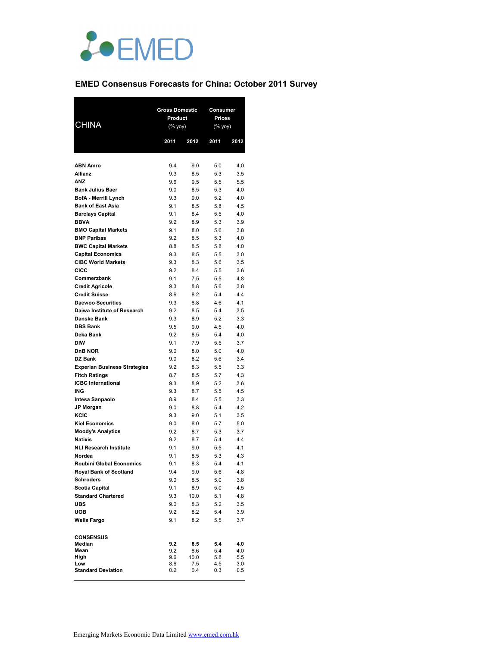

# **EMED Consensus Forecasts for China: October 2011 Survey**

| Product<br><b>Prices</b><br><b>CHINA</b><br>$(% \mathsf{Y}^{\prime }\mathsf{Y}^{\prime }\mathsf{Y}^{\prime })$<br>$(%$ yoy)<br>2011<br>2012<br>2011<br>2012<br><b>ABN Amro</b><br>9.4<br>9.0<br>5.0<br>4.0<br>Allianz<br>9.3<br>8.5<br>5.3<br>3.5<br><b>ANZ</b><br>9.6<br>9.5<br>5.5<br>5.5<br><b>Bank Julius Baer</b><br>5.3<br>9.0<br>8.5<br>4.0<br><b>BofA</b> - Merrill Lynch<br>9.3<br>9.0<br>5.2<br>4.0<br><b>Bank of East Asia</b><br>9.1<br>8.5<br>5.8<br>4.5<br><b>Barclays Capital</b><br>9.1<br>8.4<br>5.5<br>4.0<br><b>BBVA</b><br>5.3<br>9.2<br>8.9<br>3.9<br><b>BMO Capital Markets</b><br>9.1<br>8.0<br>5.6<br>3.8<br><b>BNP Paribas</b><br>9.2<br>8.5<br>5.3<br>4.0<br><b>BWC Capital Markets</b><br>8.8<br>8.5<br>5.8<br>4.0<br><b>Capital Economics</b><br>9.3<br>8.5<br>5.5<br>3.0<br><b>CIBC World Markets</b><br>9.3<br>8.3<br>5.6<br>3.5<br>CICC<br>9.2<br>8.4<br>5.5<br>3.6<br>Commerzbank<br>9.1<br>7.5<br>5.5<br>4.8<br><b>Credit Agricole</b><br>9.3<br>8.8<br>5.6<br>3.8<br><b>Credit Suisse</b><br>8.6<br>8.2<br>5.4<br>4.4<br><b>Daewoo Securities</b><br>9.3<br>8.8<br>4.6<br>4.1<br>Daiwa Institute of Research<br>9.2<br>8.5<br>5.4<br>3.5<br>Danske Bank<br>9.3<br>8.9<br>5.2<br>3.3<br><b>DBS Bank</b><br>9.5<br>9.0<br>4.5<br>4.0<br>Deka Bank<br>9.2<br>8.5<br>5.4<br>4.0<br><b>DIW</b><br>9.1<br>7.9<br>5.5<br>3.7<br><b>DnB NOR</b><br>9.0<br>8.0<br>5.0<br>4.0<br>DZ Bank<br>8.2<br>9.0<br>5.6<br>3.4<br><b>Experian Business Strategies</b><br>9.2<br>8.3<br>5.5<br>3.3<br><b>Fitch Ratings</b><br>8.7<br>8.5<br>5.7<br>4.3<br><b>ICBC</b> International<br>9.3<br>8.9<br>5.2<br>3.6<br>ING<br>9.3<br>8.7<br>5.5<br>4.5 |
|-----------------------------------------------------------------------------------------------------------------------------------------------------------------------------------------------------------------------------------------------------------------------------------------------------------------------------------------------------------------------------------------------------------------------------------------------------------------------------------------------------------------------------------------------------------------------------------------------------------------------------------------------------------------------------------------------------------------------------------------------------------------------------------------------------------------------------------------------------------------------------------------------------------------------------------------------------------------------------------------------------------------------------------------------------------------------------------------------------------------------------------------------------------------------------------------------------------------------------------------------------------------------------------------------------------------------------------------------------------------------------------------------------------------------------------------------------------------------------------------------------------------------------------------------------------------------------------------------------------------------------------------------------------------|
|                                                                                                                                                                                                                                                                                                                                                                                                                                                                                                                                                                                                                                                                                                                                                                                                                                                                                                                                                                                                                                                                                                                                                                                                                                                                                                                                                                                                                                                                                                                                                                                                                                                                 |
|                                                                                                                                                                                                                                                                                                                                                                                                                                                                                                                                                                                                                                                                                                                                                                                                                                                                                                                                                                                                                                                                                                                                                                                                                                                                                                                                                                                                                                                                                                                                                                                                                                                                 |
|                                                                                                                                                                                                                                                                                                                                                                                                                                                                                                                                                                                                                                                                                                                                                                                                                                                                                                                                                                                                                                                                                                                                                                                                                                                                                                                                                                                                                                                                                                                                                                                                                                                                 |
|                                                                                                                                                                                                                                                                                                                                                                                                                                                                                                                                                                                                                                                                                                                                                                                                                                                                                                                                                                                                                                                                                                                                                                                                                                                                                                                                                                                                                                                                                                                                                                                                                                                                 |
|                                                                                                                                                                                                                                                                                                                                                                                                                                                                                                                                                                                                                                                                                                                                                                                                                                                                                                                                                                                                                                                                                                                                                                                                                                                                                                                                                                                                                                                                                                                                                                                                                                                                 |
|                                                                                                                                                                                                                                                                                                                                                                                                                                                                                                                                                                                                                                                                                                                                                                                                                                                                                                                                                                                                                                                                                                                                                                                                                                                                                                                                                                                                                                                                                                                                                                                                                                                                 |
|                                                                                                                                                                                                                                                                                                                                                                                                                                                                                                                                                                                                                                                                                                                                                                                                                                                                                                                                                                                                                                                                                                                                                                                                                                                                                                                                                                                                                                                                                                                                                                                                                                                                 |
|                                                                                                                                                                                                                                                                                                                                                                                                                                                                                                                                                                                                                                                                                                                                                                                                                                                                                                                                                                                                                                                                                                                                                                                                                                                                                                                                                                                                                                                                                                                                                                                                                                                                 |
|                                                                                                                                                                                                                                                                                                                                                                                                                                                                                                                                                                                                                                                                                                                                                                                                                                                                                                                                                                                                                                                                                                                                                                                                                                                                                                                                                                                                                                                                                                                                                                                                                                                                 |
|                                                                                                                                                                                                                                                                                                                                                                                                                                                                                                                                                                                                                                                                                                                                                                                                                                                                                                                                                                                                                                                                                                                                                                                                                                                                                                                                                                                                                                                                                                                                                                                                                                                                 |
|                                                                                                                                                                                                                                                                                                                                                                                                                                                                                                                                                                                                                                                                                                                                                                                                                                                                                                                                                                                                                                                                                                                                                                                                                                                                                                                                                                                                                                                                                                                                                                                                                                                                 |
|                                                                                                                                                                                                                                                                                                                                                                                                                                                                                                                                                                                                                                                                                                                                                                                                                                                                                                                                                                                                                                                                                                                                                                                                                                                                                                                                                                                                                                                                                                                                                                                                                                                                 |
|                                                                                                                                                                                                                                                                                                                                                                                                                                                                                                                                                                                                                                                                                                                                                                                                                                                                                                                                                                                                                                                                                                                                                                                                                                                                                                                                                                                                                                                                                                                                                                                                                                                                 |
|                                                                                                                                                                                                                                                                                                                                                                                                                                                                                                                                                                                                                                                                                                                                                                                                                                                                                                                                                                                                                                                                                                                                                                                                                                                                                                                                                                                                                                                                                                                                                                                                                                                                 |
|                                                                                                                                                                                                                                                                                                                                                                                                                                                                                                                                                                                                                                                                                                                                                                                                                                                                                                                                                                                                                                                                                                                                                                                                                                                                                                                                                                                                                                                                                                                                                                                                                                                                 |
|                                                                                                                                                                                                                                                                                                                                                                                                                                                                                                                                                                                                                                                                                                                                                                                                                                                                                                                                                                                                                                                                                                                                                                                                                                                                                                                                                                                                                                                                                                                                                                                                                                                                 |
|                                                                                                                                                                                                                                                                                                                                                                                                                                                                                                                                                                                                                                                                                                                                                                                                                                                                                                                                                                                                                                                                                                                                                                                                                                                                                                                                                                                                                                                                                                                                                                                                                                                                 |
|                                                                                                                                                                                                                                                                                                                                                                                                                                                                                                                                                                                                                                                                                                                                                                                                                                                                                                                                                                                                                                                                                                                                                                                                                                                                                                                                                                                                                                                                                                                                                                                                                                                                 |
|                                                                                                                                                                                                                                                                                                                                                                                                                                                                                                                                                                                                                                                                                                                                                                                                                                                                                                                                                                                                                                                                                                                                                                                                                                                                                                                                                                                                                                                                                                                                                                                                                                                                 |
|                                                                                                                                                                                                                                                                                                                                                                                                                                                                                                                                                                                                                                                                                                                                                                                                                                                                                                                                                                                                                                                                                                                                                                                                                                                                                                                                                                                                                                                                                                                                                                                                                                                                 |
|                                                                                                                                                                                                                                                                                                                                                                                                                                                                                                                                                                                                                                                                                                                                                                                                                                                                                                                                                                                                                                                                                                                                                                                                                                                                                                                                                                                                                                                                                                                                                                                                                                                                 |
|                                                                                                                                                                                                                                                                                                                                                                                                                                                                                                                                                                                                                                                                                                                                                                                                                                                                                                                                                                                                                                                                                                                                                                                                                                                                                                                                                                                                                                                                                                                                                                                                                                                                 |
|                                                                                                                                                                                                                                                                                                                                                                                                                                                                                                                                                                                                                                                                                                                                                                                                                                                                                                                                                                                                                                                                                                                                                                                                                                                                                                                                                                                                                                                                                                                                                                                                                                                                 |
|                                                                                                                                                                                                                                                                                                                                                                                                                                                                                                                                                                                                                                                                                                                                                                                                                                                                                                                                                                                                                                                                                                                                                                                                                                                                                                                                                                                                                                                                                                                                                                                                                                                                 |
|                                                                                                                                                                                                                                                                                                                                                                                                                                                                                                                                                                                                                                                                                                                                                                                                                                                                                                                                                                                                                                                                                                                                                                                                                                                                                                                                                                                                                                                                                                                                                                                                                                                                 |
|                                                                                                                                                                                                                                                                                                                                                                                                                                                                                                                                                                                                                                                                                                                                                                                                                                                                                                                                                                                                                                                                                                                                                                                                                                                                                                                                                                                                                                                                                                                                                                                                                                                                 |
|                                                                                                                                                                                                                                                                                                                                                                                                                                                                                                                                                                                                                                                                                                                                                                                                                                                                                                                                                                                                                                                                                                                                                                                                                                                                                                                                                                                                                                                                                                                                                                                                                                                                 |
|                                                                                                                                                                                                                                                                                                                                                                                                                                                                                                                                                                                                                                                                                                                                                                                                                                                                                                                                                                                                                                                                                                                                                                                                                                                                                                                                                                                                                                                                                                                                                                                                                                                                 |
|                                                                                                                                                                                                                                                                                                                                                                                                                                                                                                                                                                                                                                                                                                                                                                                                                                                                                                                                                                                                                                                                                                                                                                                                                                                                                                                                                                                                                                                                                                                                                                                                                                                                 |
|                                                                                                                                                                                                                                                                                                                                                                                                                                                                                                                                                                                                                                                                                                                                                                                                                                                                                                                                                                                                                                                                                                                                                                                                                                                                                                                                                                                                                                                                                                                                                                                                                                                                 |
|                                                                                                                                                                                                                                                                                                                                                                                                                                                                                                                                                                                                                                                                                                                                                                                                                                                                                                                                                                                                                                                                                                                                                                                                                                                                                                                                                                                                                                                                                                                                                                                                                                                                 |
| 8.9<br>8.4<br>5.5<br>3.3<br>Intesa Sanpaolo                                                                                                                                                                                                                                                                                                                                                                                                                                                                                                                                                                                                                                                                                                                                                                                                                                                                                                                                                                                                                                                                                                                                                                                                                                                                                                                                                                                                                                                                                                                                                                                                                     |
| 4.2<br><b>JP Morgan</b><br>9.0<br>8.8<br>5.4                                                                                                                                                                                                                                                                                                                                                                                                                                                                                                                                                                                                                                                                                                                                                                                                                                                                                                                                                                                                                                                                                                                                                                                                                                                                                                                                                                                                                                                                                                                                                                                                                    |
| KCIC<br>9.3<br>5.1<br>3.5<br>9.0                                                                                                                                                                                                                                                                                                                                                                                                                                                                                                                                                                                                                                                                                                                                                                                                                                                                                                                                                                                                                                                                                                                                                                                                                                                                                                                                                                                                                                                                                                                                                                                                                                |
| <b>Kiel Economics</b><br>9.0<br>8.0<br>5.7<br>5.0                                                                                                                                                                                                                                                                                                                                                                                                                                                                                                                                                                                                                                                                                                                                                                                                                                                                                                                                                                                                                                                                                                                                                                                                                                                                                                                                                                                                                                                                                                                                                                                                               |
| <b>Moody's Analytics</b><br>9.2<br>8.7<br>5.3<br>3.7                                                                                                                                                                                                                                                                                                                                                                                                                                                                                                                                                                                                                                                                                                                                                                                                                                                                                                                                                                                                                                                                                                                                                                                                                                                                                                                                                                                                                                                                                                                                                                                                            |
| Natixis<br>9.2<br>8.7<br>5.4<br>4.4<br><b>NLI Research Institute</b><br>9.1<br>9.0<br>5.5<br>4.1                                                                                                                                                                                                                                                                                                                                                                                                                                                                                                                                                                                                                                                                                                                                                                                                                                                                                                                                                                                                                                                                                                                                                                                                                                                                                                                                                                                                                                                                                                                                                                |
| 9.1<br>8.5<br>5.3<br>4.3<br>Nordea                                                                                                                                                                                                                                                                                                                                                                                                                                                                                                                                                                                                                                                                                                                                                                                                                                                                                                                                                                                                                                                                                                                                                                                                                                                                                                                                                                                                                                                                                                                                                                                                                              |
| <b>Roubini Global Economics</b><br>9.1<br>8.3<br>4.1<br>5.4                                                                                                                                                                                                                                                                                                                                                                                                                                                                                                                                                                                                                                                                                                                                                                                                                                                                                                                                                                                                                                                                                                                                                                                                                                                                                                                                                                                                                                                                                                                                                                                                     |
| <b>Royal Bank of Scotland</b><br>9.4<br>9.0<br>5.6<br>4.8                                                                                                                                                                                                                                                                                                                                                                                                                                                                                                                                                                                                                                                                                                                                                                                                                                                                                                                                                                                                                                                                                                                                                                                                                                                                                                                                                                                                                                                                                                                                                                                                       |
| <b>Schroders</b><br>8.5<br>5.0<br>9.0<br>3.8                                                                                                                                                                                                                                                                                                                                                                                                                                                                                                                                                                                                                                                                                                                                                                                                                                                                                                                                                                                                                                                                                                                                                                                                                                                                                                                                                                                                                                                                                                                                                                                                                    |
| <b>Scotia Capital</b><br>9.1<br>8.9<br>5.0<br>4.5                                                                                                                                                                                                                                                                                                                                                                                                                                                                                                                                                                                                                                                                                                                                                                                                                                                                                                                                                                                                                                                                                                                                                                                                                                                                                                                                                                                                                                                                                                                                                                                                               |
| <b>Standard Chartered</b><br>9.3<br>10.0<br>5.1<br>4.8                                                                                                                                                                                                                                                                                                                                                                                                                                                                                                                                                                                                                                                                                                                                                                                                                                                                                                                                                                                                                                                                                                                                                                                                                                                                                                                                                                                                                                                                                                                                                                                                          |
| UBS<br>9.0<br>8.3<br>5.2<br>3.5                                                                                                                                                                                                                                                                                                                                                                                                                                                                                                                                                                                                                                                                                                                                                                                                                                                                                                                                                                                                                                                                                                                                                                                                                                                                                                                                                                                                                                                                                                                                                                                                                                 |
| <b>UOB</b><br>9.2<br>8.2<br>5.4<br>3.9                                                                                                                                                                                                                                                                                                                                                                                                                                                                                                                                                                                                                                                                                                                                                                                                                                                                                                                                                                                                                                                                                                                                                                                                                                                                                                                                                                                                                                                                                                                                                                                                                          |
| 9.1<br>3.7<br><b>Wells Fargo</b><br>8.2<br>5.5                                                                                                                                                                                                                                                                                                                                                                                                                                                                                                                                                                                                                                                                                                                                                                                                                                                                                                                                                                                                                                                                                                                                                                                                                                                                                                                                                                                                                                                                                                                                                                                                                  |
| <b>CONSENSUS</b>                                                                                                                                                                                                                                                                                                                                                                                                                                                                                                                                                                                                                                                                                                                                                                                                                                                                                                                                                                                                                                                                                                                                                                                                                                                                                                                                                                                                                                                                                                                                                                                                                                                |
| Median<br>9.2<br>8.5<br>5.4<br>4.0                                                                                                                                                                                                                                                                                                                                                                                                                                                                                                                                                                                                                                                                                                                                                                                                                                                                                                                                                                                                                                                                                                                                                                                                                                                                                                                                                                                                                                                                                                                                                                                                                              |
| Mean<br>9.2<br>8.6<br>5.4<br>4.0                                                                                                                                                                                                                                                                                                                                                                                                                                                                                                                                                                                                                                                                                                                                                                                                                                                                                                                                                                                                                                                                                                                                                                                                                                                                                                                                                                                                                                                                                                                                                                                                                                |
| High<br>9.6<br>10.0<br>5.8<br>5.5<br>Low<br>8.6<br>7.5<br>4.5<br>3.0                                                                                                                                                                                                                                                                                                                                                                                                                                                                                                                                                                                                                                                                                                                                                                                                                                                                                                                                                                                                                                                                                                                                                                                                                                                                                                                                                                                                                                                                                                                                                                                            |
| <b>Standard Deviation</b><br>0.2<br>0.4<br>0.3<br>$0.5\,$                                                                                                                                                                                                                                                                                                                                                                                                                                                                                                                                                                                                                                                                                                                                                                                                                                                                                                                                                                                                                                                                                                                                                                                                                                                                                                                                                                                                                                                                                                                                                                                                       |